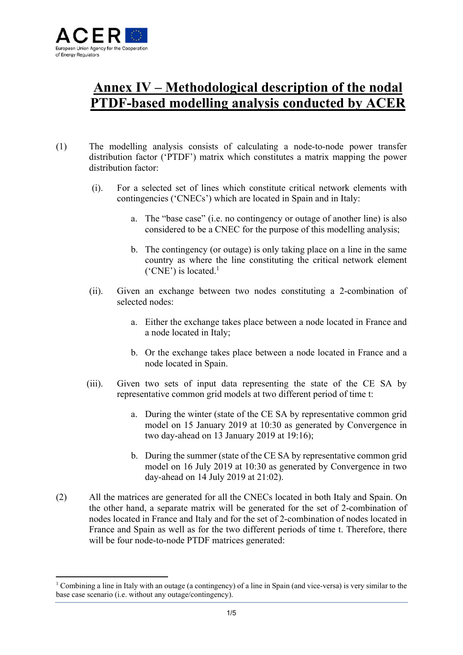

## **Annex IV – Methodological description of the nodal PTDF-based modelling analysis conducted by ACER**

- (1) The modelling analysis consists of calculating a node-to-node power transfer distribution factor ('PTDF') matrix which constitutes a matrix mapping the power distribution factor:
	- (i). For a selected set of lines which constitute critical network elements with contingencies ('CNECs') which are located in Spain and in Italy:
		- a. The "base case" (i.e. no contingency or outage of another line) is also considered to be a CNEC for the purpose of this modelling analysis;
		- b. The contingency (or outage) is only taking place on a line in the same country as where the line constituting the critical network element ( $^{\circ}$ CNE') is located.<sup>1</sup>
	- (ii). Given an exchange between two nodes constituting a 2-combination of selected nodes:
		- a. Either the exchange takes place between a node located in France and a node located in Italy;
		- b. Or the exchange takes place between a node located in France and a node located in Spain.
	- (iii). Given two sets of input data representing the state of the CE SA by representative common grid models at two different period of time t:
		- a. During the winter (state of the CE SA by representative common grid model on 15 January 2019 at 10:30 as generated by Convergence in two day-ahead on 13 January 2019 at 19:16);
		- b. During the summer (state of the CE SA by representative common grid model on 16 July 2019 at 10:30 as generated by Convergence in two day-ahead on 14 July 2019 at 21:02).
- (2) All the matrices are generated for all the CNECs located in both Italy and Spain. On the other hand, a separate matrix will be generated for the set of 2-combination of nodes located in France and Italy and for the set of 2-combination of nodes located in France and Spain as well as for the two different periods of time t. Therefore, there will be four node-to-node PTDF matrices generated:

<sup>&</sup>lt;sup>1</sup> Combining a line in Italy with an outage (a contingency) of a line in Spain (and vice-versa) is very similar to the base case scenario (i.e. without any outage/contingency).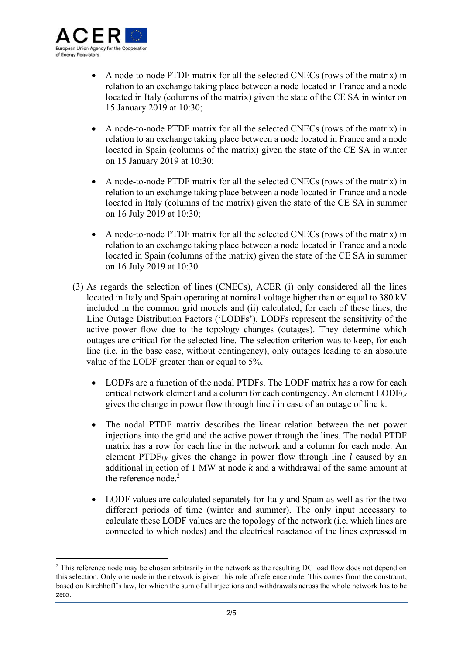

- A node-to-node PTDF matrix for all the selected CNECs (rows of the matrix) in relation to an exchange taking place between a node located in France and a node located in Italy (columns of the matrix) given the state of the CE SA in winter on 15 January 2019 at 10:30;
- A node-to-node PTDF matrix for all the selected CNECs (rows of the matrix) in relation to an exchange taking place between a node located in France and a node located in Spain (columns of the matrix) given the state of the CE SA in winter on 15 January 2019 at 10:30;
- A node-to-node PTDF matrix for all the selected CNECs (rows of the matrix) in relation to an exchange taking place between a node located in France and a node located in Italy (columns of the matrix) given the state of the CE SA in summer on 16 July 2019 at 10:30;
- A node-to-node PTDF matrix for all the selected CNECs (rows of the matrix) in relation to an exchange taking place between a node located in France and a node located in Spain (columns of the matrix) given the state of the CE SA in summer on 16 July 2019 at 10:30.
- (3) As regards the selection of lines (CNECs), ACER (i) only considered all the lines located in Italy and Spain operating at nominal voltage higher than or equal to 380 kV included in the common grid models and (ii) calculated, for each of these lines, the Line Outage Distribution Factors ('LODFs'). LODFs represent the sensitivity of the active power flow due to the topology changes (outages). They determine which outages are critical for the selected line. The selection criterion was to keep, for each line (i.e*.* in the base case, without contingency), only outages leading to an absolute value of the LODF greater than or equal to 5%.
	- LODFs are a function of the nodal PTDFs. The LODF matrix has a row for each critical network element and a column for each contingency. An element LODF*l,k* gives the change in power flow through line *l* in case of an outage of line k.
	- The nodal PTDF matrix describes the linear relation between the net power injections into the grid and the active power through the lines. The nodal PTDF matrix has a row for each line in the network and a column for each node. An element PTDF*l,k* gives the change in power flow through line *l* caused by an additional injection of 1 MW at node *k* and a withdrawal of the same amount at the reference node.<sup>2</sup>
	- LODF values are calculated separately for Italy and Spain as well as for the two different periods of time (winter and summer). The only input necessary to calculate these LODF values are the topology of the network (i.e. which lines are connected to which nodes) and the electrical reactance of the lines expressed in

<sup>&</sup>lt;sup>2</sup> This reference node may be chosen arbitrarily in the network as the resulting DC load flow does not depend on this selection. Only one node in the network is given this role of reference node. This comes from the constraint, based on Kirchhoff's law, for which the sum of all injections and withdrawals across the whole network has to be zero.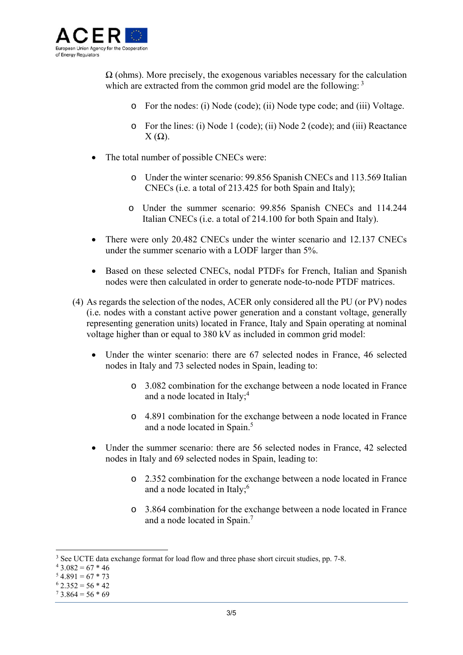

 $\Omega$  (ohms). More precisely, the exogenous variables necessary for the calculation which are extracted from the common grid model are the following:  $3$ 

- o For the nodes: (i) Node (code); (ii) Node type code; and (iii) Voltage.
- o For the lines: (i) Node 1 (code); (ii) Node 2 (code); and (iii) Reactance  $X(\Omega)$ .
- The total number of possible CNECs were:
	- o Under the winter scenario: 99.856 Spanish CNECs and 113.569 Italian CNECs (i.e. a total of 213.425 for both Spain and Italy);
	- o Under the summer scenario: 99.856 Spanish CNECs and 114.244 Italian CNECs (i.e. a total of 214.100 for both Spain and Italy).
- There were only 20.482 CNECs under the winter scenario and 12.137 CNECs under the summer scenario with a LODF larger than 5%.
- Based on these selected CNECs, nodal PTDFs for French, Italian and Spanish nodes were then calculated in order to generate node-to-node PTDF matrices.
- (4) As regards the selection of the nodes, ACER only considered all the PU (or PV) nodes (i.e*.* nodes with a constant active power generation and a constant voltage, generally representing generation units) located in France, Italy and Spain operating at nominal voltage higher than or equal to 380 kV as included in common grid model:
	- Under the winter scenario: there are 67 selected nodes in France, 46 selected nodes in Italy and 73 selected nodes in Spain, leading to:
		- o 3.082 combination for the exchange between a node located in France and a node located in Italy;<sup>4</sup>
		- o 4.891 combination for the exchange between a node located in France and a node located in Spain.<sup>5</sup>
	- Under the summer scenario: there are 56 selected nodes in France, 42 selected nodes in Italy and 69 selected nodes in Spain, leading to:
		- o 2.352 combination for the exchange between a node located in France and a node located in Italy;<sup>6</sup>
		- o 3.864 combination for the exchange between a node located in France and a node located in Spain.7

<sup>&</sup>lt;sup>3</sup> See UCTE data exchange format for load flow and three phase short circuit studies, pp. 7-8.<br><sup>4</sup> 3.082 = 67 \* 46

 $43.082 = 67 * 46$ 

 $54.891 = 67 * 73$ 

 $62.352 = 56 * 42$ 

 $73.864 = 56 * 69$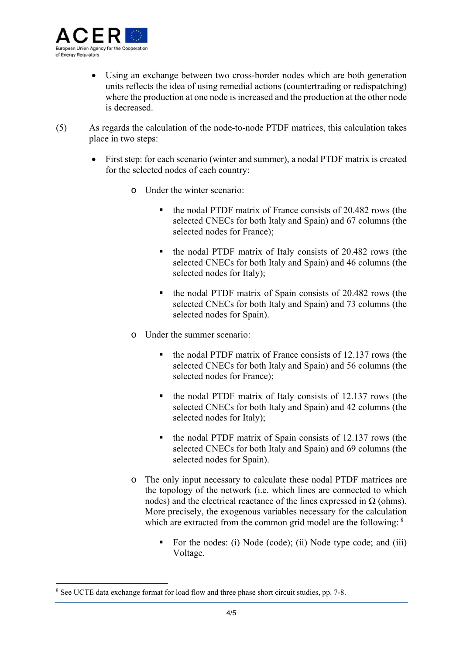

- Using an exchange between two cross-border nodes which are both generation units reflects the idea of using remedial actions (countertrading or redispatching) where the production at one node is increased and the production at the other node is decreased.
- (5) As regards the calculation of the node-to-node PTDF matrices, this calculation takes place in two steps:
	- First step: for each scenario (winter and summer), a nodal PTDF matrix is created for the selected nodes of each country:
		- o Under the winter scenario:
			- the nodal PTDF matrix of France consists of 20.482 rows (the selected CNECs for both Italy and Spain) and 67 columns (the selected nodes for France);
			- the nodal PTDF matrix of Italy consists of 20.482 rows (the selected CNECs for both Italy and Spain) and 46 columns (the selected nodes for Italy);
			- the nodal PTDF matrix of Spain consists of 20.482 rows (the selected CNECs for both Italy and Spain) and 73 columns (the selected nodes for Spain).
		- o Under the summer scenario:
			- $\blacksquare$  the nodal PTDF matrix of France consists of 12.137 rows (the selected CNECs for both Italy and Spain) and 56 columns (the selected nodes for France);
			- $\blacksquare$  the nodal PTDF matrix of Italy consists of 12.137 rows (the selected CNECs for both Italy and Spain) and 42 columns (the selected nodes for Italy);
			- $\bullet$  the nodal PTDF matrix of Spain consists of 12.137 rows (the selected CNECs for both Italy and Spain) and 69 columns (the selected nodes for Spain).
		- o The only input necessary to calculate these nodal PTDF matrices are the topology of the network (i.e. which lines are connected to which nodes) and the electrical reactance of the lines expressed in  $\Omega$  (ohms). More precisely, the exogenous variables necessary for the calculation which are extracted from the common grid model are the following:  $8$ 
			- For the nodes: (i) Node (code); (ii) Node type code; and (iii) Voltage.

<sup>&</sup>lt;sup>8</sup> See UCTE data exchange format for load flow and three phase short circuit studies, pp. 7-8.